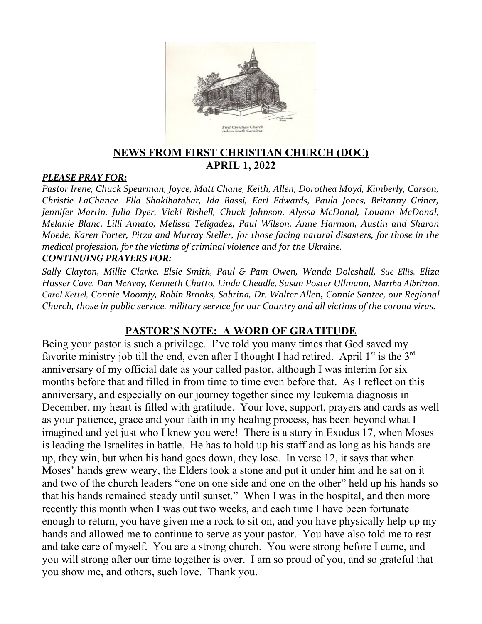

### **NEWS FROM FIRST CHRISTIAN CHURCH (DOC) APRIL 1, 2022**

#### *PLEASE PRAY FOR:*

*Pastor Irene, Chuck Spearman, Joyce, Matt Chane, Keith, Allen, Dorothea Moyd, Kimberly, Carson, Christie LaChance. Ella Shakibatabar, Ida Bassi, Earl Edwards, Paula Jones, Britanny Griner, Jennifer Martin, Julia Dyer, Vicki Rishell, Chuck Johnson, Alyssa McDonal, Louann McDonal, Melanie Blanc, Lilli Amato, Melissa Teligadez, Paul Wilson, Anne Harmon, Austin and Sharon Moede, Karen Porter, Pitza and Murray Steller, for those facing natural disasters, for those in the medical profession, for the victims of criminal violence and for the Ukraine. CONTINUING PRAYERS FOR:*

*Sally Clayton, Millie Clarke, Elsie Smith, Paul & Pam Owen, Wanda Doleshall, Sue Ellis, Eliza Husser Cave, Dan McAvoy, Kenneth Chatto, Linda Cheadle, Susan Poster Ullmann, Martha Albritton, Carol Kettel, Connie Moomjy, Robin Brooks, Sabrina, Dr. Walter Allen, Connie Santee, our Regional Church, those in public service, military service for our Country and all victims of the corona virus.* 

### **PASTOR'S NOTE: A WORD OF GRATITUDE**

Being your pastor is such a privilege. I've told you many times that God saved my favorite ministry job till the end, even after I thought I had retired. April  $1<sup>st</sup>$  is the  $3<sup>rd</sup>$ anniversary of my official date as your called pastor, although I was interim for six months before that and filled in from time to time even before that. As I reflect on this anniversary, and especially on our journey together since my leukemia diagnosis in December, my heart is filled with gratitude. Your love, support, prayers and cards as well as your patience, grace and your faith in my healing process, has been beyond what I imagined and yet just who I knew you were! There is a story in Exodus 17, when Moses is leading the Israelites in battle. He has to hold up his staff and as long as his hands are up, they win, but when his hand goes down, they lose. In verse 12, it says that when Moses' hands grew weary, the Elders took a stone and put it under him and he sat on it and two of the church leaders "one on one side and one on the other" held up his hands so that his hands remained steady until sunset." When I was in the hospital, and then more recently this month when I was out two weeks, and each time I have been fortunate enough to return, you have given me a rock to sit on, and you have physically help up my hands and allowed me to continue to serve as your pastor. You have also told me to rest and take care of myself. You are a strong church. You were strong before I came, and you will strong after our time together is over. I am so proud of you, and so grateful that you show me, and others, such love. Thank you.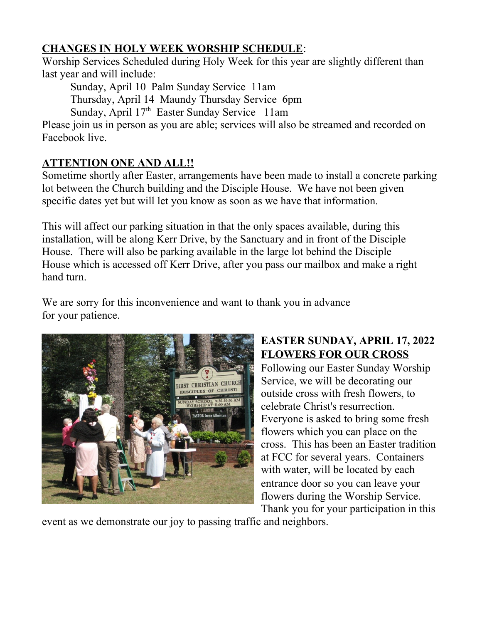# **CHANGES IN HOLY WEEK WORSHIP SCHEDULE**:

Worship Services Scheduled during Holy Week for this year are slightly different than last year and will include:

Sunday, April 10 Palm Sunday Service 11am

Thursday, April 14 Maundy Thursday Service 6pm

Sunday, April 17<sup>th</sup> Easter Sunday Service 11am

Please join us in person as you are able; services will also be streamed and recorded on Facebook live.

# **ATTENTION ONE AND ALL!!**

Sometime shortly after Easter, arrangements have been made to install a concrete parking lot between the Church building and the Disciple House. We have not been given specific dates yet but will let you know as soon as we have that information.

This will affect our parking situation in that the only spaces available, during this installation, will be along Kerr Drive, by the Sanctuary and in front of the Disciple House. There will also be parking available in the large lot behind the Disciple House which is accessed off Kerr Drive, after you pass our mailbox and make a right hand turn.

We are sorry for this inconvenience and want to thank you in advance for your patience.



# **EASTER SUNDAY, APRIL 17, 2022 FLOWERS FOR OUR CROSS**

Following our Easter Sunday Worship Service, we will be decorating our outside cross with fresh flowers, to celebrate Christ's resurrection. Everyone is asked to bring some fresh flowers which you can place on the cross. This has been an Easter tradition at FCC for several years. Containers with water, will be located by each entrance door so you can leave your flowers during the Worship Service. Thank you for your participation in this

event as we demonstrate our joy to passing traffic and neighbors.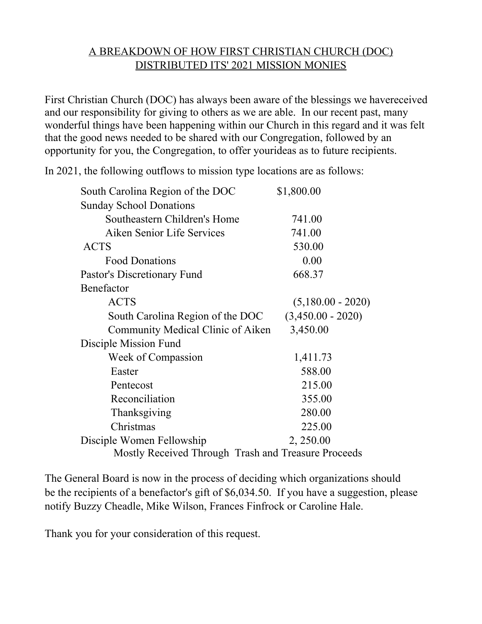### A BREAKDOWN OF HOW FIRST CHRISTIAN CHURCH (DOC) DISTRIBUTED ITS' 2021 MISSION MONIES

First Christian Church (DOC) has always been aware of the blessings we havereceived and our responsibility for giving to others as we are able. In our recent past, many wonderful things have been happening within our Church in this regard and it was felt that the good news needed to be shared with our Congregation, followed by an opportunity for you, the Congregation, to offer yourideas as to future recipients.

In 2021, the following outflows to mission type locations are as follows:

| South Carolina Region of the DOC                    | \$1,800.00          |
|-----------------------------------------------------|---------------------|
| <b>Sunday School Donations</b>                      |                     |
| Southeastern Children's Home                        | 741.00              |
| Aiken Senior Life Services                          | 741.00              |
| <b>ACTS</b>                                         | 530.00              |
| <b>Food Donations</b>                               | 0.00                |
| Pastor's Discretionary Fund                         | 668.37              |
| Benefactor                                          |                     |
| <b>ACTS</b>                                         | $(5,180.00 - 2020)$ |
| South Carolina Region of the DOC                    | $(3,450.00 - 2020)$ |
| Community Medical Clinic of Aiken                   | 3,450.00            |
| Disciple Mission Fund                               |                     |
| Week of Compassion                                  | 1,411.73            |
| Easter                                              | 588.00              |
| Pentecost                                           | 215.00              |
| Reconciliation                                      | 355.00              |
| Thanksgiving                                        | 280.00              |
| Christmas                                           | 225.00              |
| Disciple Women Fellowship                           | 2, 250.00           |
| Mostly Received Through Trash and Treasure Proceeds |                     |

The General Board is now in the process of deciding which organizations should be the recipients of a benefactor's gift of \$6,034.50. If you have a suggestion, please notify Buzzy Cheadle, Mike Wilson, Frances Finfrock or Caroline Hale.

Thank you for your consideration of this request.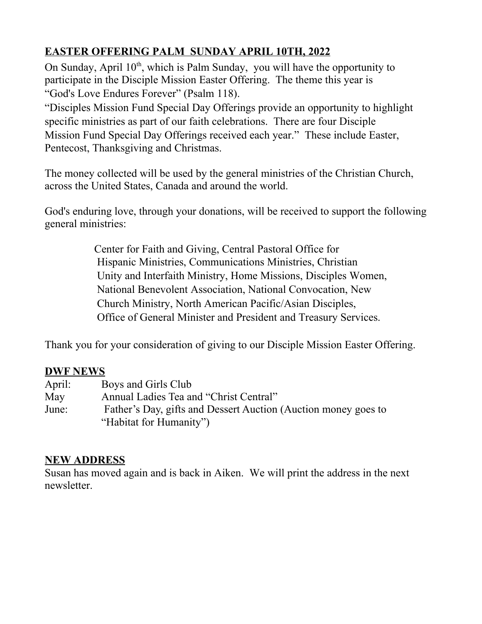# **EASTER OFFERING PALM SUNDAY APRIL 10TH, 2022**

On Sunday, April  $10<sup>th</sup>$ , which is Palm Sunday, you will have the opportunity to participate in the Disciple Mission Easter Offering. The theme this year is "God's Love Endures Forever" (Psalm 118).

"Disciples Mission Fund Special Day Offerings provide an opportunity to highlight specific ministries as part of our faith celebrations. There are four Disciple Mission Fund Special Day Offerings received each year." These include Easter, Pentecost, Thanksgiving and Christmas.

The money collected will be used by the general ministries of the Christian Church, across the United States, Canada and around the world.

God's enduring love, through your donations, will be received to support the following general ministries:

> Center for Faith and Giving, Central Pastoral Office for Hispanic Ministries, Communications Ministries, Christian Unity and Interfaith Ministry, Home Missions, Disciples Women, National Benevolent Association, National Convocation, New Church Ministry, North American Pacific/Asian Disciples, Office of General Minister and President and Treasury Services.

Thank you for your consideration of giving to our Disciple Mission Easter Offering.

### **DWF NEWS**

| April: | Boys and Girls Club                                            |
|--------|----------------------------------------------------------------|
| May    | Annual Ladies Tea and "Christ Central"                         |
| June:  | Father's Day, gifts and Dessert Auction (Auction money goes to |
|        | "Habitat for Humanity")                                        |

### **NEW ADDRESS**

Susan has moved again and is back in Aiken. We will print the address in the next newsletter.